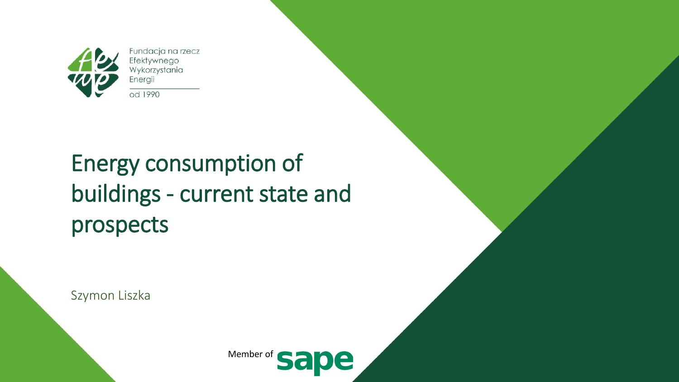

Fundacja na rzecz Efektywnego Wykorzystania Energii od 1990

#### Energy consumption of buildings - current state and prospects

Szymon Liszka

Member of le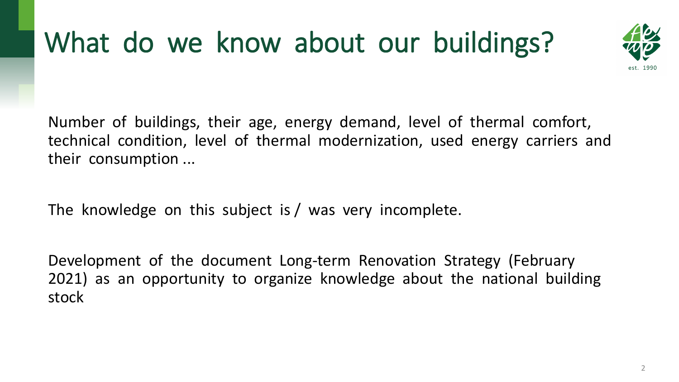# What do we know about our buildings?



Number of buildings, their age, energy demand, level of thermal comfort, technical condition, level of thermal modernization, used energy carriers and their consumption ...

The knowledge on this subject is / was very incomplete.

Development of the document Long-term Renovation Strategy (February 2021) as an opportunity to organize knowledge about the national building stock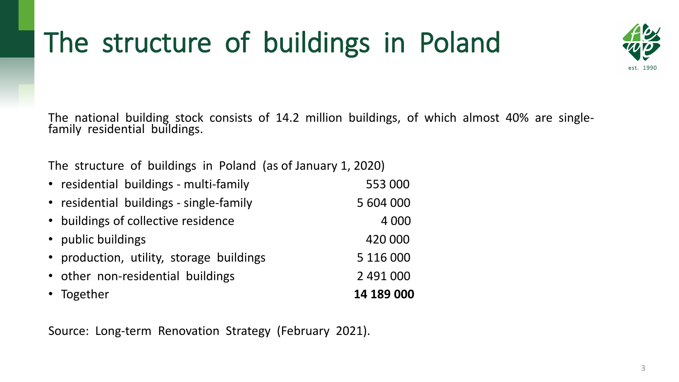# The structure of buildings in Poland



The national building stock consists of 14.2 million buildings, of which almost 40% are single- family residential buildings.

The structure of buildings in Poland (as of January 1, 2020)

| • Together                               | 14 189 000 |
|------------------------------------------|------------|
| • other non-residential buildings        | 2 491 000  |
| • production, utility, storage buildings | 5 116 000  |
| • public buildings                       | 420 000    |
| • buildings of collective residence      | 4 0 0 0    |
| • residential buildings - single-family  | 5 604 000  |
| • residential buildings - multi-family   | 553 000    |

Source: Long-term Renovation Strategy (February 2021).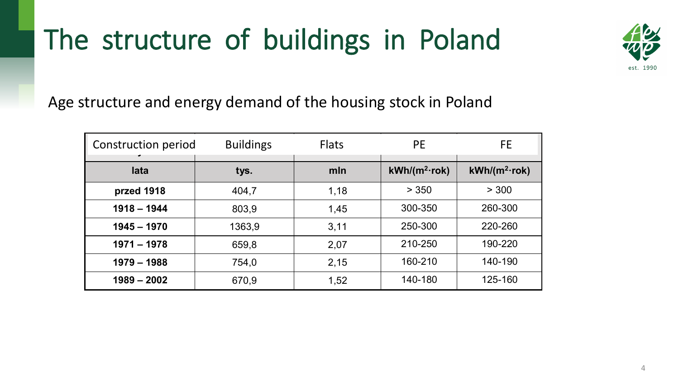### The structure of buildings in Poland



Age structure and energy demand of the housing stock in Poland

| Construction period<br>◢ | <b>Buildings</b> | <b>Flats</b> | <b>PE</b>                    | FE                           |  |
|--------------------------|------------------|--------------|------------------------------|------------------------------|--|
| lata                     | tys.             | mln          | $kWh/(m^2 \cdot \text{rok})$ | $kWh/(m^2 \cdot \text{rok})$ |  |
| przed 1918               | 404,7            | 1,18         | > 350                        | > 300                        |  |
| $1918 - 1944$            | 803,9            | 1,45         | 300-350                      | 260-300                      |  |
| $1945 - 1970$            | 1363,9           | 3,11         | 250-300                      | 220-260                      |  |
| $1971 - 1978$            | 659,8            | 2,07         | 210-250                      | 190-220                      |  |
| $1979 - 1988$            | 754,0            | 2,15         | 160-210                      | 140-190                      |  |
| $1989 - 2002$            | 670,9            | 1,52         | 140-180                      | 125-160                      |  |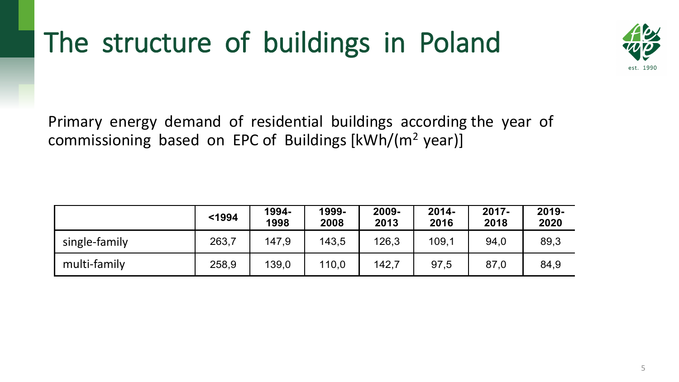# The structure of buildings in Poland



Primary energy demand of residential buildings according the year of commissioning based on EPC of Buildings [kWh/(m2 year)]

|               | $1994$ | 1994-<br>1998 | 1999-<br>2008 | 2009-<br>2013 | $2014 -$<br>2016 | $2017 -$<br>2018 | 2019-<br>2020 |
|---------------|--------|---------------|---------------|---------------|------------------|------------------|---------------|
| single-family | 263,7  | 147.9         | 143,5         | 126,3         | 109,1            | 94,0             | 89,3          |
| multi-family  | 258,9  | 139,0         | 110,0         | 142,7         | 97,5             | 87,0             | 84,9          |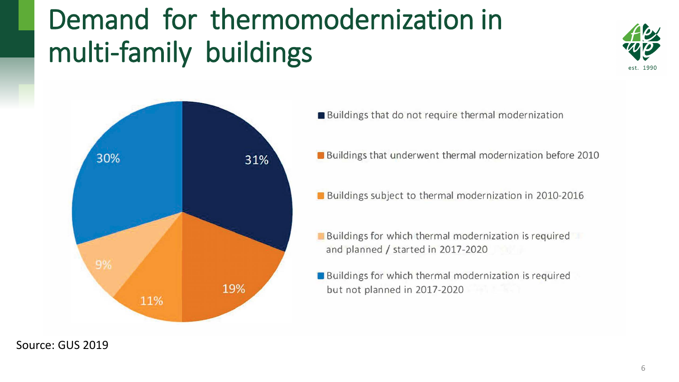# Demand for thermomodernization in multi-family buildings





- Buildings that do not require thermal modernization
- Buildings that underwent thermal modernization before 2010
- Buildings subject to thermal modernization in 2010-2016
- **Buildings for which thermal modernization is required** and planned / started in 2017-2020
- Buildings for which thermal modernization is required but not planned in 2017-2020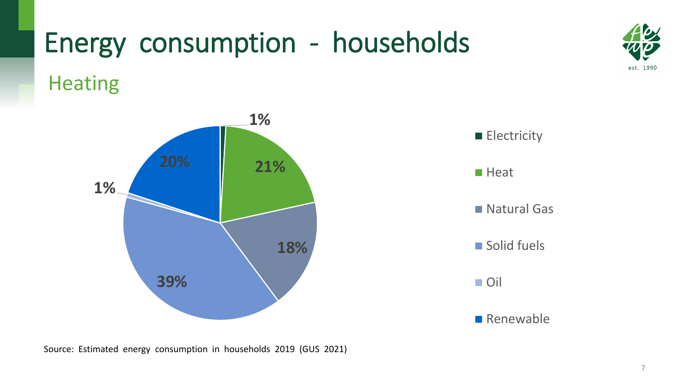# Heating Energy consumption - households





- **Electricity**
- **Heat**
- Natural Gas
- Solid fuels
- Oil
- **Renewable**

est. 1990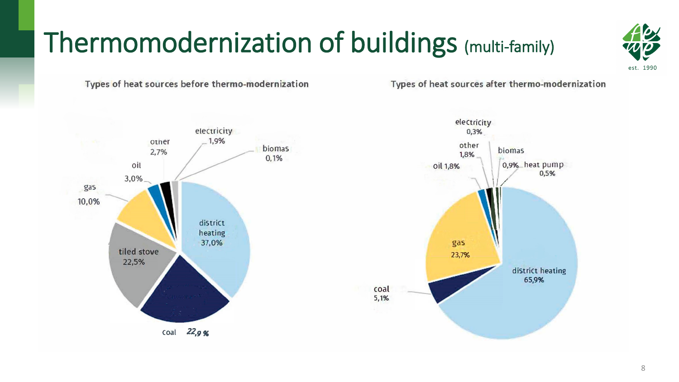## Thermomodernization of buildings (multi-family)



Types of heat sources before thermo-modernization

Types of heat sources after thermo-modernization



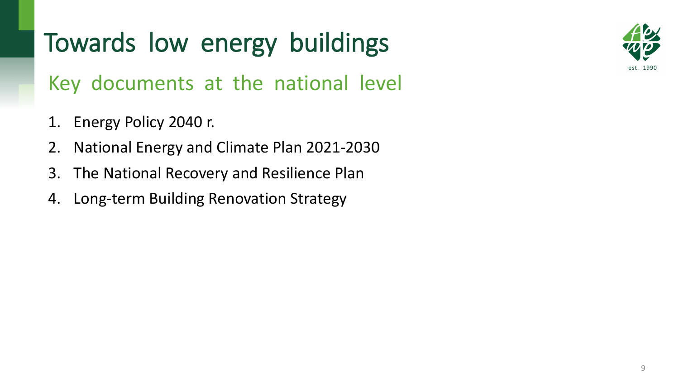Key documents at the national level

- 1. Energy Policy 2040 r.
- 2. National Energy and Climate Plan 2021-2030
- 3. The National Recovery and Resilience Plan
- 4. Long-term Building Renovation Strategy

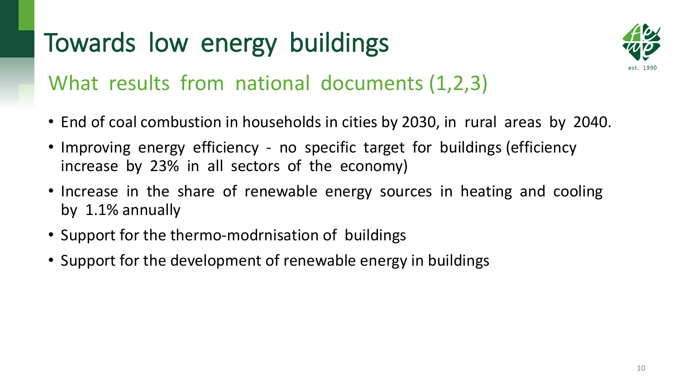

#### What results from national documents (1,2,3)

- End of coal combustion in households in cities by 2030, in rural areas by 2040.
- Improving energy efficiency no specific target for buildings (efficiency increase by 23% in all sectors of the economy)
- Increase in the share of renewable energy sources in heating and cooling by 1.1% annually
- Support for the thermo-modrnisation of buildings
- Support for the development of renewable energy in buildings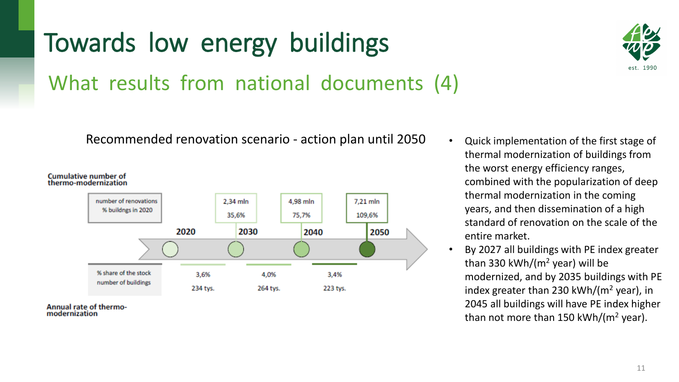What results from national documents (4)

Recommended renovation scenario - action plan until 2050 • Quick implementation of the first stage of



**Annual rate of thermo**modernization



- thermal modernization of buildings from the worst energy efficiency ranges, combined with the popularization of deep thermal modernization in the coming years, and then dissemination of a high standard of renovation on the scale of the entire market.
- By 2027 all buildings with PE index greater than 330 kWh/( $m<sup>2</sup>$  year) will be modernized, and by 2035 buildings with PE index greater than 230 kWh/( $m<sup>2</sup>$  year), in 2045 all buildings will have PE index higher than not more than 150 kWh/( $m<sup>2</sup>$  year).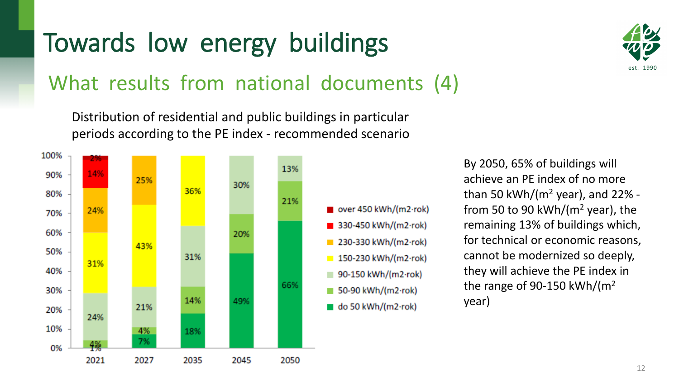#### What results from national documents (4)

Distribution of residential and public buildings in particular periods according to the PE index - recommended scenario



est. 1990

By 2050, 65% of buildings will achieve an PE index of no more than 50 kWh/( $m<sup>2</sup>$  year), and 22% from 50 to 90 kWh/( $m<sup>2</sup>$  year), the remaining 13% of buildings which, for technical or economic reasons, cannot be modernized so deeply, they will achieve the PE index in the range of 90-150 kWh/ $(m<sup>2</sup>$ year)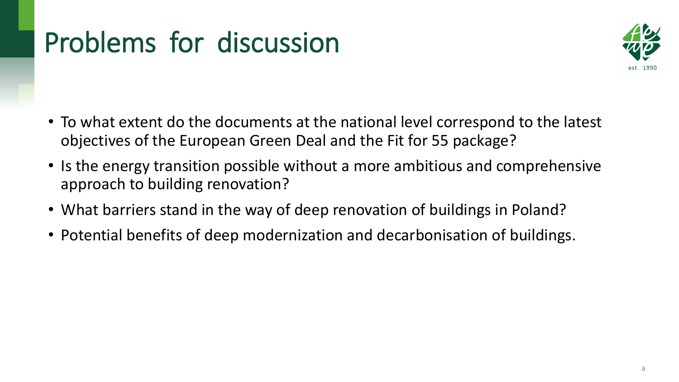# Problems for discussion



- To what extent do the documents at the national level correspond to the latest objectives of the European Green Deal and the Fit for 55 package?
- Is the energy transition possible without a more ambitious and comprehensive approach to building renovation?
- What barriers stand in the way of deep renovation of buildings in Poland?
- Potential benefits of deep modernization and decarbonisation of buildings.